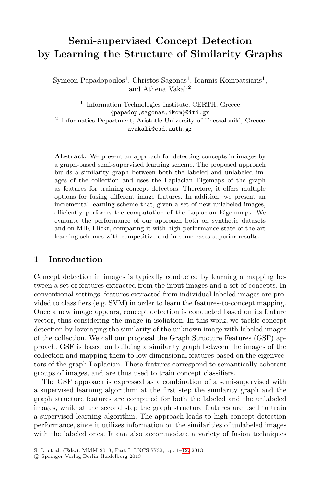# **Semi-supervised Concept Detection by Learning the Structure of Similarity Graphs**

Symeon Papadopoulos<sup>1</sup>, Christos Sagonas<sup>1</sup>, Ioannis Kompatsiaris<sup>1</sup>, and Athena Vakali<sup>2</sup>

<sup>1</sup> Information Technologies Institute, CERTH, Greece *{*papadop,sagonas,ikom*}*@iti.gr <sup>2</sup> Informatics Department, Aristotle University of Thessaloniki, Greece avakali@csd.auth.gr

Abstract. We present an approach for detecting concepts in images by a graph-based semi-supervised learning scheme. The proposed approach builds a similarity graph between both the labeled and unlabeled images of the collection and uses the Laplacian Eigemaps of the graph as features for training concept detectors. Therefore, it offers multiple options for fusing different image features. In addition, we present an incremental learning scheme that, given a set of new unlabeled images, efficiently performs the computation of the Laplacian Eigenmaps. We evaluate the performance of our approach both on synthetic datasets and on MIR Flickr, comparing it with high-performance state-of-the-art learning schemes with competitive and in some cases superior results.

## **1 Introduction**

Concept detection in images is typically conducted by learning a mapping between a set of features extracted from the input images and a set of concepts. In conventional settings, features extracted from individual labeled images are provided to classifiers (e.g. SVM) in order to learn the features-to-concept mapping. Once a new image appears, concept detection is conducted based on its feature vector, thus considering the image in isoliation. In this work, we tackle concept detection by leveraging the similarity of the unknown image with labeled images of the collection. We call our proposal the Graph Structure Features (GSF) approach. GSF is based on building a similarity graph between the images of the collection and mapping them to low-dimensional features based on the eigenvectors of the graph Laplacian. These features correspond to semantically coherent groups of images, and are thus used to train concept classifiers.

The GSF approach is ex[pres](#page-11-0)sed as a combination of a semi-supervised with a supervised learning algorithm: at the first step the similarity graph and the graph structure features are computed for both the labeled and the unlabeled images, while at the second step the graph structure features are used to train a supervised learning algorithm. The approach leads to high concept detection performance, since it utilizes information on the similarities of unlabeled images with the labeled ones. It can also accommodate a variety of fusion techniques

S. Li et al. (Eds.): MMM 2013, Part I, LNCS 7732, pp. 1–12, 2013.

<sup>-</sup>c Springer-Verlag Berlin Heidelberg 2013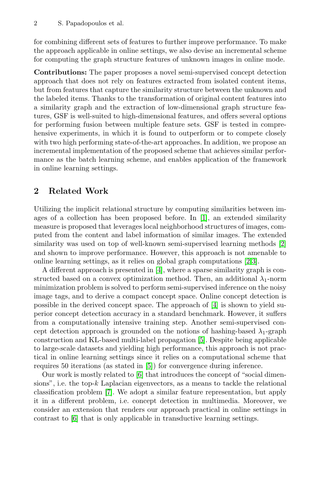#### 2 S. Papadopoulos et al.

for combining different sets of features to further improve performance. To make the approach applicable in online settings, we also devise an incremental scheme for computing the graph structure features of unknown images in online mode.

**Contributions:** The paper proposes a novel semi-supervised concept detection approach that does not rely on features extracted from isolated content items, but from features that capture the similarity structure between the unknown and the labeled items. Thanks to the transformation of original content features into a similarity graph and the extraction of low-dimensional graph structure features, GSF is well-suited to high-dimensional features, and offers several options for performing fusion between multiple feature sets. GSF is tested in comprehensive experiments, in which it is found to outperform or to compete closely with two high performing state-of-the-art approaches. In addition, we propose an incremental implementation of the [pr](#page-10-0)oposed scheme that achieves similar performance as the batch learning scheme, and enables application of the framework in online learning settings.

## **2 Related Work**

Utilizing the implici[t](#page-11-1) [r](#page-11-1)elational structure by computing similarities between images of a collection has been proposed before. In [1], an extended similarity measure is proposed that leverages local neighborhood structures of images, computed from the content and label inf[orm](#page-11-1)ation of similar images. The extended similarity was used on top of well-known semi-supervised learning methods [2] and shown to improve performance. However, this approach is not amenable to online learning settings, as it relies on global graph computations [2,3].

A different approach is presente[d i](#page-11-2)n [4], where a sparse similarity graph is constructed based on a convex optimization method. Then, an additional  $\lambda_1$ -norm minimization problem is solved to perform semi-supervised inference on the noisy image tags, and t[o](#page-11-2) derive a compact concept space. Online concept detection is possible in the [d](#page-11-3)erived concept space. The approach of [4] is shown to yield superior concept detection accuracy in a standard benchmark. However, it suffers from [a](#page-11-4) computationally intensive training step. Another semi-supervised concept detection approach is grounded on the notions of hashing-based  $\lambda_1$ -graph construction and KL-based multi-label propagation [5]. Despite being applicable to large-scale datasets and yielding high performance, this approach is not practical in online learning settings since it relies on a computational scheme that requires 50 iterations (as stated in [5]) for convergence during inference.

Our work is mostly related to [6] that introduces the concept of "social dimensions", i.e. the top- $k$  Laplacian eigenvectors, as a means to tackle the relational classification problem [7]. We adopt a similar feature representation, but apply it in a different problem, i.e. concept detection in multimedia. Moreover, we consider an extension that renders our approach practical in online settings in contrast to [6] that is only applicable in transductive learning settings.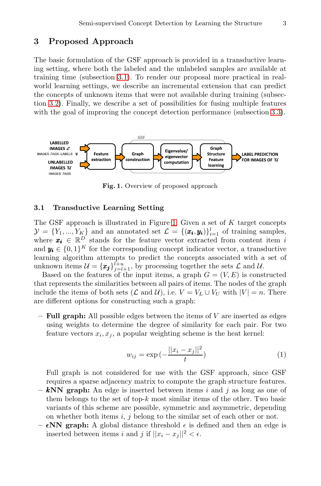## **3 Proposed Approach**

<span id="page-2-0"></span>The basic formulation of the GSF approach is provided in a transductive learning setting, where both the labeled and the unlabeled samples are available at training time (subsection 3.1). To render our proposal more practical in realworld learning settings, we describe an incremental extension that can predict the concepts of unknown items that were not available during training (subsection 3.2). Finally, we describe a set of possibilities for fusing multiple features with the goal of improving the concept detection performance (subsection 3.3).



<span id="page-2-1"></span>**Fig. 1.** Overview of proposed approach

#### **3.1 Transductive Learning Setting**

The GSF approach is illustrated in Figure 1. Given a set of K target concepts  $\mathcal{Y} = \{Y_1, ..., Y_K\}$  and an annotated set  $\mathcal{L} = \{(\pmb{x_i}, \pmb{y_i})\}_{i=1}^l$  of training samples, where  $\mathbf{x}_i \in \mathbb{R}^D$  stands for the feature vector extracted from content item is and  $y_i \in \{0,1\}^K$  for the corresponding concept indicator vector, a transductive learning algorithm attempts to predict the concepts associated with a set of unknown items  $\mathcal{U} = {\mathbf{x_j}} \}_{j=l+1}^{l+u}$ , by processing together the sets  $\mathcal{L}$  and  $\mathcal{U}$ .

Based on the features of the input items, a graph  $G = (V, E)$  is constructed that represents the similarities between all pairs of items. The nodes of the graph include the items of both sets  $(L \text{ and } U)$ , i.e.  $V = V_L \cup V_U$  with  $|V| = n$ . There are different options for constructing such a graph:

**– Full graph:** All possible edges between the items of V are inserted as edges using weights to determine the degree of similarity for each pair. For two feature vectors  $x_i, x_j$ , a popular weighting scheme is the heat kernel:

$$
w_{ij} = \exp\left(-\frac{||x_i - x_j||^2}{t}\right) \tag{1}
$$

Full graph is not considered for use with the GSF approach, since GSF requires a sparse adjacency matrix to compute the graph structure features.

- $-$ **kNN graph:** An edge is inserted between items i and j as long as one of them belongs to the set of top- $k$  most similar items of the other. Two basic variants of this scheme are possible, symmetric and asymmetric, depending on whether both items  $i$ ,  $j$  belong to the similar set of each other or not.
- $\epsilon$ NN graph: A global distance threshold  $\epsilon$  is defined and then an edge is inserted between items *i* and *j* if  $||x_i - x_j||^2 < \epsilon$ .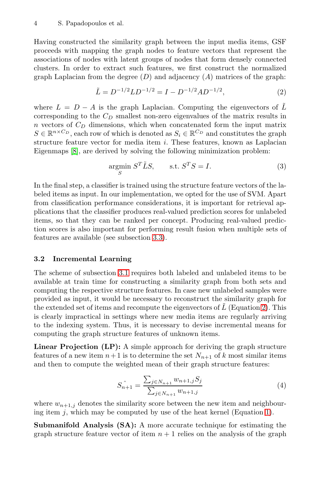#### 4 S. Papadopoulos et al.

Having constructed the similarity graph between the input media items, GSF proceeds with mapping the graph nodes to feature vectors that represent the associations of nodes with latent groups of nodes that form densely connected clusters. In order to extract such features, we first construct the normalized graph Laplacian from the degree  $(D)$  and adjacency  $(A)$  matrices of the graph:

$$
\tilde{L} = D^{-1/2} L D^{-1/2} = I - D^{-1/2} A D^{-1/2},\tag{2}
$$

where  $L = D - A$  is the graph Laplacian. Computing the eigenvectors of  $\tilde{L}$ corresponding to the C*<sup>D</sup>* smallest non-zero eigenvalues of the matrix results in n vectors of C*<sup>D</sup>* dimensions, which when concatenated form the input matrix  $S \in \mathbb{R}^{n \times C_D}$ , each row of which is denoted as  $S_i \in \mathbb{R}^{C_D}$  and constitutes the graph structure feature vector for media item i. These features, known as Laplacian Eigenmaps [8], are derived by solving the following minimization problem:

$$
\underset{S}{\text{argmin}} \ S^T \tilde{L} S, \qquad \text{s.t.} \ S^T S = I. \tag{3}
$$

In the final step, a classifier is trained using the structure feature vectors of the labeled items as input. In our implementation, we opted for the use of SVM. Apart from cla[ssific](#page-2-0)ation performance considerations, it is important for retrieval applications that the classifier produces real-valued prediction scores for unlabeled items, so that they can be ranked per concept. Producing real-valued prediction scores is also important for performing result fusion when multiple sets of features are available (see subsection 3.3).

#### **3.2 Incremental Learning**

The scheme of subsection 3.1 requires both labeled and unlabeled items to be available at train time for constructing a similarity graph from both sets and computing the respective structure features. In case new unlabeled samples were provided as input, it would be necessary to reconstruct the similarity graph for the extended set of items and recompute the eigenvectors of  $\tilde{L}$  (Equation 2). This is clearly impractical in settings where new media items are regularly arriving to the indexing system. Thus, it is necessary to devise incremental means for computing the graph structure features of unknown items.

**Linear Projection (LP):** A simple approach for der[ivi](#page-2-1)ng the graph structure features of a new item  $n+1$  is to determine the set  $N_{n+1}$  of k most similar items and then to compute the weighted mean of their graph structure features:

$$
S_{n+1} = \frac{\sum_{j \in N_{n+1}} w_{n+1,j} S_j}{\sum_{j \in N_{n+1}} w_{n+1,j}}
$$
\n(4)

where  $w_{n+1,j}$  denotes the similarity score between the new item and neighbouring item  $j$ , which may be computed by use of the heat kernel (Equation 1).

Submanifold Analysis (SA): A more accurate technique for estimating the graph structure feature vector of item  $n + 1$  relies on the analysis of the graph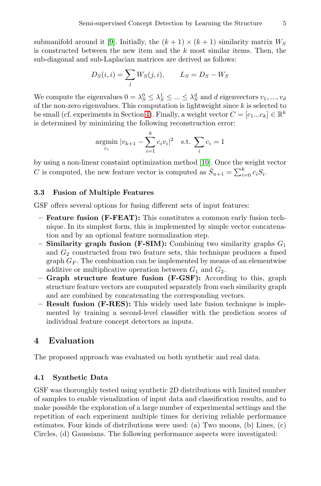<span id="page-4-1"></span>submanifold around it [9]. Initially, the  $(k + 1) \times (k + 1)$  similarity matrix  $W<sub>S</sub>$ is constructed b[etw](#page-4-0)een the new item and the  $k$  most similar items. Then, the sub-diagonal and sub-Laplacian matrices are derived as follows:

$$
D_S(i,i) = \sum_j W_S(j,i), \qquad L_S = D_S - W_S
$$

We compute the eigenvalues  $0 = \lambda_S^0 \leq \lambda_S^1 \leq ... \leq \lambda_S^d$  and d eigenvectors  $v_1, ..., v_d$ of the non-zero eigenvalues. This computation is lightweight since  $k$  is selected to be small (cf. experiments in Section 4). Finally, a weight vector  $C = [c_1...c_k] \in \mathbb{R}^k$ is determined by minimizing the following reconstruction error:

$$
\underset{c_i}{\text{argmin}} \ |v_{k+1} - \sum_{i=1}^{k} c_i v_i|^2 \quad \text{s.t.} \ \sum_i c_i = 1
$$

by using a non-linear constaint optimization method [10]. Once the weight vector C is computed, the new feature vector is computed as  $\hat{S}_{n+1} = \sum_{i=0}^{k} c_i S_i$ .

#### **3.3 Fusion of Multiple Features**

<span id="page-4-0"></span>GSF offers several options for fusing different sets of input features:

- **Feature fusion (F-FEAT):** This constitutes a common early fusion technique. In its simplest form, this is implemented by simple vector concatenation and by an optional feature normalization step.
- **Similarity graph fusion (F-SIM):** Combining two similarity graphs  $G_1$ and  $G_2$  constructed from two feature sets, this technique produces a fused  $graph G_F$ . The combination can be implemented by means of an elementwise additive or multiplicative operation between  $G_1$  and  $G_2$ .
- **Graph structure feature fusion (F-GSF):** According to this, graph structure feature vectors are computed separately from each similarity graph and are combined by concatenating the corresponding vectors.
- **Result fusion (F-RES):** This widely used late fusion technique is implemented by training a second-level classifier with the prediction scores of individual feature concept detectors as inputs.

## **4 Evaluation**

The proposed approach was evaluated on both synthetic and real data.

#### **4.1 Synthetic Data**

GSF was thoroughly tested using synthetic 2D distributions with limited number of samples to enable visualization of input data and classification results, and to make possible the exploration of a large number of experimental settings and the repetition of each experiment multiple times for deriving reliable performance estimates. Four kinds of distributions were used: (a) Two moons, (b) Lines, (c) Circles, (d) Gaussians. The following performance aspects were investigated: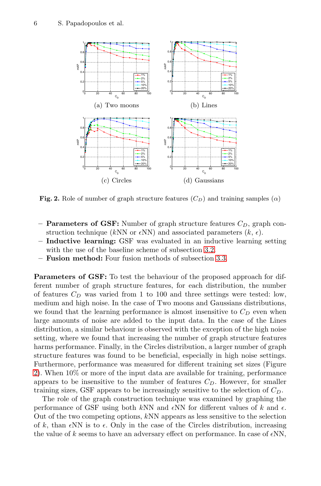6 S. Papadopoulos et al.



**Fig. 2.** Role of number of graph structure features  $(C_D)$  and training samples  $(\alpha)$ 

- **Parameters of GSF:** Number of graph structure features C*D*, graph construction technique (kNN or  $\epsilon$ NN) and associated parameters (k,  $\epsilon$ ).
- **Inductive learning:** GSF was evaluated in an inductive learning setting with the use of the baseline scheme of subsection 3.2.
- **Fusion method:** Four fusion methods of subsection 3.3.

**Parameters of GSF:** To test the behaviour of the proposed approach for different number of graph structure features, for each distribution, the number of features C*<sup>D</sup>* was varied from 1 to 100 and three settings were tested: low, medium and high noise. In the case of Two moons and Gaussians distributions, we found that the learning performance is almost insensitive to  $C<sub>D</sub>$  even when large amounts of noise are added to the input data. In the case of the Lines distribution, a similar behaviour is observed with the exception of the high noise setting, where we found that increasing the number of graph structure features harms performance. Finally, in the Circles distribution, a larger number of graph structure features was found to be beneficial, especially in high noise settings. Furthermore, performance was measured for different training set sizes (Figure 2). When 10% or more of the input data are available for training, performance appears to be insensitive to the number of features C*D*. However, for smaller training sizes, GSF appears to be increasingly sensitive to the selection of C*D*.

The role of the graph construction technique was examined by graphing the performance of GSF using both kNN and  $\epsilon$ NN for different values of k and  $\epsilon$ . Out of the two competing options,  $kNN$  appears as less sensitive to the selection of k, than  $\epsilon NN$  is to  $\epsilon$ . Only in the case of the Circles distribution, increasing the value of k seems to have an adversary effect on performance. In case of  $\epsilon NN$ ,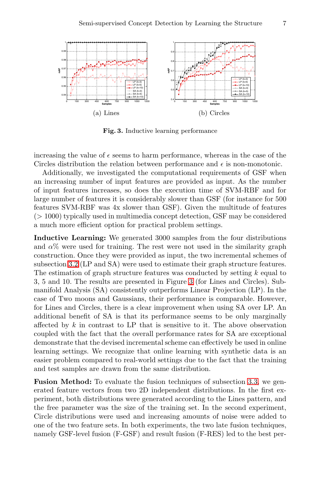<span id="page-6-0"></span>

**Fig. 3.** Inductive learning performance

increasing the value of  $\epsilon$  seems to harm performance, whereas in the case of the Circles distribution the relation between performance and  $\epsilon$  is non-monotonic.

Additionally, we investigated the computational requirements of GSF when an increasing number of input features are provided as input. As the number of input features increases, so does the execution time of SVM-RBF and for large number of features it is considerably slower than GSF (for instance for 500 features SVM-RBF was 4x slower than GSF). Given the multitude of features  $(> 1000)$  typically used in mult[im](#page-6-0)edia concept detection, GSF may be considered a much more efficient option for practical problem settings.

**Inductive Learning:** We generated 3000 samples from the four distributions and  $\alpha$ % were used for training. The rest were not used in the similarity graph construction. Once they were provided as input, the two incremental schemes of subsection 3.2 (LP and SA) were used to estimate their graph structure features. The estimation of graph structure features was conducted by setting  $k$  equal to 3, 5 and 10. The results are presented in Figure 3 (for Lines and Circles). Submanifold Analysis (SA) consistently outperforms Linear Projection (LP). In the case of Two moons and Gaussians, their performance is comparable. However, for Lines and Circles, there is a clear improvement when using SA over LP. An additional benefit of SA is that its performanc[e](#page-4-1) [see](#page-4-1)ms to be only marginally affected by  $k$  in contrast to LP that is sensitive to it. The above observation coupled with the fact that the overall performance rates for SA are exceptional demonstrate that the devised incremental scheme can effectively be used in online learning settings. We recognize that online learning with synthetic data is an easier problem compared to real-world settings due to the fact that the training and test samples are drawn from the same distribution.

**Fusion Method:** To evaluate the fusion techniques of subsection 3.3, we generated feature vectors from two 2D independent distributions. In the first experiment, both distributions were generated according to the Lines pattern, and the free parameter was the size of the training set. In the second experiment, Circle distributions were used and increasing amounts of noise were added to one of the two feature sets. In both experiments, the two late fusion techniques, namely GSF-level fusion (F-GSF) and result fusion (F-RES) led to the best per-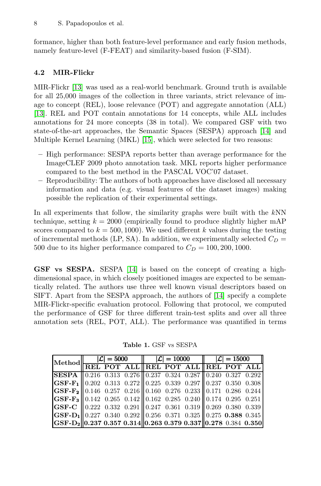#### 8 S. Papadopoulos et al.

formance, higher than both feature-level performance and early fusion methods, namely feature-level (F-FEAT) and similarity-based fusion (F-SIM).

## **4.2 MIR-Fli[ckr](#page-11-6)**

MIR-Flickr [13] was used as a real-world benchmark. Ground truth is available for all 25,000 images of the collection in three variants, strict relevance of image to concept (REL), loose relevance (POT) and aggregate annotation (ALL) [13]. REL and POT contain annotations for 14 concepts, while ALL includes annotations for 24 more concepts (38 in total). We compared GSF with two state-of-the-art approaches, the Semantic Spaces (SESPA) approach [14] and Multiple Kernel Learning (MKL) [15], which were selected for two reasons:

- **–** High performance: SESPA reports better than average performance for the ImageCLEF 2009 photo annotation task. MKL reports higher performance compared to the best method in the PASCAL VOC'07 dataset.
- **–** Reproducibility: The authors of both approaches have disclosed all necessary information and data (e.g. visual features of the dataset images) making possibl[e th](#page-11-7)e replication of their experimental settings.

<span id="page-7-0"></span>In all experiments that follow, the similarity graphs were built with the  $kNN$ technique, setting  $k = 2000$  (empirically found to produce slightly higher mAP scores compared to  $k = 500, 1000$ . We [use](#page-11-7)d different k values during the testing of incremental methods (LP, SA). In addition, we experimentally selected  $C_D$  = 500 due to its higher performance compared to  $C_D = 100, 200, 1000$ .

**GSF vs SESPA.** SESPA [14] is based on the concept of creating a highdimensional space, in which closely positioned images are expected to be semantically related. The authors use three well known visual descriptors based on SIFT. Apart from the SESPA approach, the authors of [14] specify a complete MIR-Flickr-specific evaluation protocol. Following that protocol, we computed the performance of GSF for three different train-test splits and over all three annotation sets (REL, POT, ALL). The performance was quantified in terms

| SESPA 0.216 0.313 0.276 0.237 0.324 0.287 0.240 0.327 0.292                                                                                                                                      |  |  |  |  |  |  |  |  |  |
|--------------------------------------------------------------------------------------------------------------------------------------------------------------------------------------------------|--|--|--|--|--|--|--|--|--|
| $\textbf{GSF-F}_1 \parallel 0.202$ 0.313 0.272 0.225 0.339 0.297 0.237 0.350 0.308                                                                                                               |  |  |  |  |  |  |  |  |  |
| $\textbf{GSF-F}_2 \parallel 0.146 \hspace{0.2cm} 0.257 \hspace{0.2cm} 0.216 \parallel 0.160 \hspace{0.2cm} 0.276 \hspace{0.2cm} 0.233 \parallel 0.171 \hspace{0.2cm} 0.286 \hspace{0.2cm} 0.244$ |  |  |  |  |  |  |  |  |  |
| $\text{GSF-F}_3 \parallel 0.142 \hspace{0.2cm} 0.265 \hspace{0.2cm} 0.142 \parallel 0.162 \hspace{0.2cm} 0.285 \hspace{0.2cm} 0.240 \parallel 0.174 \hspace{0.2cm} 0.295 \hspace{0.2cm} 0.251$   |  |  |  |  |  |  |  |  |  |
| <b>GSF-C</b> $\parallel$ 0.222 0.332 0.291 $\parallel$ 0.247 0.361 0.319 $\parallel$ 0.269 0.380 0.339                                                                                           |  |  |  |  |  |  |  |  |  |
| $\textbf{GSF-D}_1 \parallel 0.227$ 0.340 0.292 0.256 0.371 0.325 0.275 0.388 0.345                                                                                                               |  |  |  |  |  |  |  |  |  |
| $ GSF-D_2 $ 0.237 0.357 0.314 0.263 0.379 0.337 0.278 0.384 0.350                                                                                                                                |  |  |  |  |  |  |  |  |  |

**Table 1.** GSF vs SESPA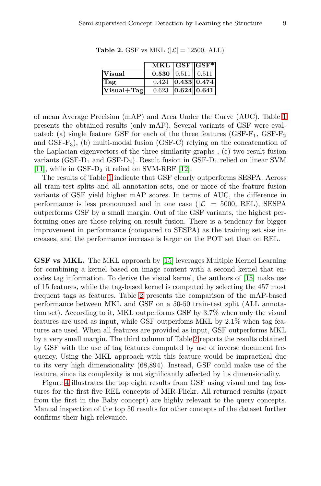<span id="page-8-0"></span>**Table 2.** GSF vs MKL  $(|\mathcal{L}| = 12500$ , ALL)

|                                | $MKL$ $\sqrt{GSF}$ $\sqrt{GSF*}$ |                     |
|--------------------------------|----------------------------------|---------------------|
| <b>Visual</b>                  | $0.530$   0.511   0.511          |                     |
| Tag                            |                                  | $0.424$ 0.433 0.474 |
| $\overline{\text{Visual+Tag}}$ |                                  | $0.623$ 0.624 0.641 |

of m[ean](#page-7-0) Average Precision (mAP) and Area Under the Curve (AUC). Table 1 presents the obtained results (only mAP). Several variants of GSF were evaluated: (a) single feature GSF for each of the three features  $(GSF-F<sub>1</sub>, GSF-F<sub>2</sub>)$ and GSF-F3), (b) multi-modal fusion (GSF-C) relying on the concatenation of the Laplacian eigenvectors of the three similarity graphs , (c) two result fusion variants (GSF- $D_1$  and GSF- $D_2$ ). Result fusion in GSF- $D_1$  relied on linear SVM [11], while in  $GSF-D_2$  it relied on SVM-RBF [12].

The results of Table 1 indicate that GSF clearly outperforms SESPA. Across all train-test splits and all annotation sets, one or more of the feature fusion variants of GSF yield [hig](#page-11-6)her mAP scores. In terms of AUC, the difference in performance is less pronounced and in one case ( $|\mathcal{L}| = 5000$ , REL), SESPA outperforms GSF by a small margin. Out of the [GS](#page-11-6)F variants, the highest performing ones are those relying on result fusion. There is a tendency for bigger improvement i[n p](#page-8-0)erformance (compared to SESPA) as the training set size increases, and the performance increase is larger on the POT set than on REL.

**GSF vs MKL.** The MKL approach by [15] leverages Multiple Kernel Learning for combining a kernel based o[n](#page-8-0) image content with a second kernel that encodes tag information. To derive the visual kernel, the authors of [15] make use of 15 features, while the tag-based kernel is computed by selecting the 457 most frequent tags as features. Table 2 presents the comparison of the mAP-based performance between MKL and GSF on a 50-50 train-test split (ALL annotation set). According to it, MKL outperforms GSF by 3.7% when only the visual features are used as input, while GSF outperfoms MKL by 2.1% when tag features are used. When all features are provided as input, GSF outperforms MKL by a very small margin. The third column of Table 2 reports the results obtained by GSF with the use of tag features computed by use of inverse document frequency. Using the MKL approach with this feature would be impractical due to its very high dimensionality (68,894). Instead, GSF could make use of the feature, since its complexity is not significantly affected by its dimensionality.

Figure 4 illustrates the top eight results from GSF using visual and tag features for the first five REL concepts of MIR-Flickr. All returned results (apart from the first in the Baby concept) are highly relevant to the query concepts. Manual inspection of the top 50 results for other concepts of the dataset further confirms their high relevance.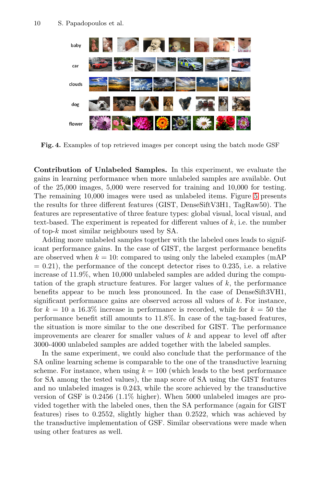

**Fig. 4.** Examples of top retrieved images per concept using the batch mode GSF

**Contribution of Unlabeled Samples.** In this experiment, we evaluate the gains in learning performance when more unlabeled samples are available. Out of the 25,000 images, 5,000 were reserved for training and 10,000 for testing. The remaining 10,000 images were used as unlabeled items. Figure 5 presents the results for three different features (GIST, DenseSiftV3H1, TagRaw50). The features are representative of three feature types: global visual, local visual, and text-based. The experiment is repeated for different values of  $k$ , i.e. the number of top-k most similar neighbours used by SA.

Adding more unlabeled samples together with the labeled ones leads to significant performance gains. In the case of GIST, the largest performance benefits are observed when  $k = 10$ : compared to using only the labeled examples (mAP)  $= 0.21$ , the performance of the concept detector rises to 0.235, i.e. a relative increase of 11.9%, when 10,000 unlabeled samples are added during the computation of the graph structure features. For larger values of  $k$ , the performance benefits appear to be much less pronounced. In the case of DenseSift3VH1, significant performance gains are observed across all values of k. For instance, for  $k = 10$  a 16.3% increase in performance is recorded, while for  $k = 50$  the performance benefit still amounts to 11.8%. In case of the tag-based features, the situation is more similar to the one described for GIST. The performance improvements are clearer for smaller values of k and appear to level off after 3000-4000 unlabeled samples are added together with the labeled samples.

In the same experiment, we could also conclude that the performance of the SA online learning scheme is comparable to the one of the transductive learning scheme. For instance, when using  $k = 100$  (which leads to the best performance for SA among the tested values), the map score of SA using the GIST features and no unlabeled images is 0.243, while the score achieved by the transductive version of GSF is 0.2456 (1.1% higher). When 5000 unlabeled images are provided together with the labeled ones, then the SA performance (again for GIST features) rises to 0.2552, slightly higher than 0.2522, which was achieved by the transductive implementation of GSF. Similar observations were made when using other features as well.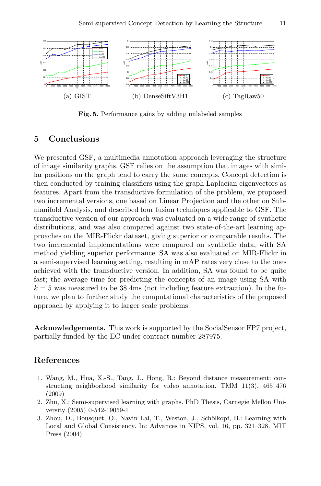

**Fig. 5.** Performance gains by adding unlabeled samples

## **5 Conclusions**

We presented GSF, a multimedia annotation approach leveraging the structure of image similarity graphs. GSF relies on the assumption that images with similar positions on the graph tend to carry the same concepts. Concept detection is then conducted by training classifiers using the graph Laplacian eigenvectors as features. Apart from the transductive formulation of the problem, we proposed two incremental versions, one based on Linear Projection and the other on Submanifold Analysis, and described four fusion techniques applicable to GSF. The transductive version of our approach was evaluated on a wide range of synthetic distributions, and was also compared against two state-of-the-art learning approaches on the MIR-Flickr dataset, giving superior or comparable results. The two incremental implementations were compared on synthetic data, with SA method yielding superior performance. SA was also evaluated on MIR-Flickr in a semi-supervised learning setting, resulting in mAP rates very close to the ones achieved with the transductive version. In addition, SA was found to be quite fast; the average time for predicting the concepts of an image using SA with  $k = 5$  was measured to be 38.4ms (not including feature extraction). In the future, we plan to further study the computational characteristics of the proposed approach by applying it to larger scale problems.

<span id="page-10-0"></span>**Acknowledgements.** This work is supported by the SocialSensor FP7 project, partially funded by the EC under contract number 287975.

## **References**

- 1. Wang, M., Hua, X.-S., Tang, J., Hong, R.: Beyond distance measurement: constructing neighborhood similarity for video annotation. TMM 11(3), 465–476 (2009)
- 2. Zhu, X.: Semi-supervised learning with graphs. PhD Thesis, Carnegie Mellon University (2005) 0-542-19059-1
- 3. Zhou, D., Bousquet, O., Navin Lal, T., Weston, J., Schölkopf, B.: Learning with Local and Global Consistency. In: Advances in NIPS, vol. 16, pp. 321–328. MIT Press (2004)